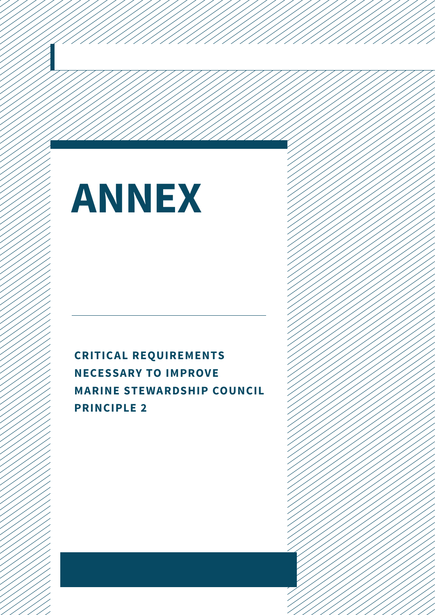# **Annex**

**Critical requirements necessary to improve marine stewardship council principle 2**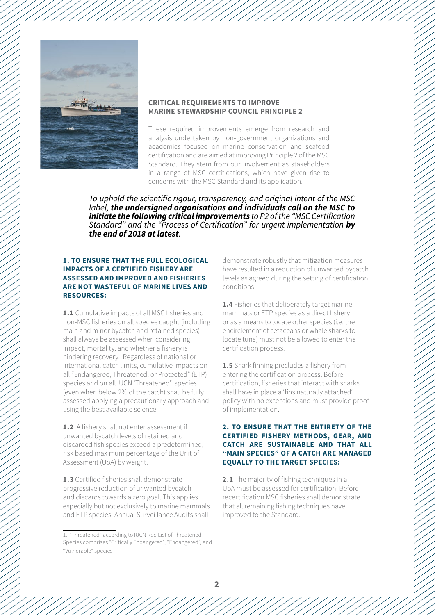



#### **CRITICAL REQUIREMENTS TO IMPROVE mARINE STEWARDSHIP COUNCIL PRINCIPLE 2**

These required improvements emerge from research and analysis undertaken by non-government organizations and academics focused on marine conservation and seafood certification and are aimed at improving Principle 2 of the MSC Standard. They stem from our involvement as stakeholders in a range of MSC certifications, which have given rise to concerns with the MSC Standard and its application.

*To uphold the scientific rigour, transparency, and original intent of the MSC label, the undersigned organisations and individuals call on the MSC to initiate the following critical improvements to P2 of the "MSC Certification Standard" and the "Process of Certification" for urgent implementation by the end of 2018 at latest.*

#### **1. To ensure that the full ecological impacts of a certified fishery are assessed and improved and fisheries are not wasteful of marine lives and resources:**

**1.1** Cumulative impacts of all MSC fisheries and non-MSC fisheries on all species caught (including main and minor bycatch and retained species) shall always be assessed when considering impact, mortality, and whether a fishery is hindering recovery. Regardless of national or international catch limits, cumulative impacts on all "Endangered, Threatened, or Protected" (ETP) species and on all IUCN 'Threatened'<sup>1</sup> species (even when below 2% of the catch) shall be fully assessed applying a precautionary approach and using the best available science.

**1.2** A fishery shall not enter assessment if unwanted bycatch levels of retained and discarded fish species exceed a predetermined, risk based maximum percentage of the Unit of Assessment (UoA) by weight.

**1.3** Certified fisheries shall demonstrate progressive reduction of unwanted bycatch and discards towards a zero goal. This applies especially but not exclusively to marine mammals and ETP species. Annual Surveillance Audits shall

demonstrate robustly that mitigation measures have resulted in a reduction of unwanted bycatch levels as agreed during the setting of certification conditions.

**1.4** Fisheries that deliberately target marine mammals or ETP species as a direct fishery or as a means to locate other species (i.e. the encirclement of cetaceans or whale sharks to locate tuna) must not be allowed to enter the certification process.

**1.5** Shark finning precludes a fishery from entering the certification process. Before certification, fisheries that interact with sharks shall have in place a 'fins naturally attached' policy with no exceptions and must provide proof of implementation.

#### **2. To ensure that the entirety of the certified fishery methods, gear, and catch are sustainable and that all "main species" of a catch are managed equally to the target species:**

**2.1** The majority of fishing techniques in a UoA must be assessed for certification. Before recertification MSC fisheries shall demonstrate that all remaining fishing techniques have improved to the Standard.

<sup>1. &</sup>quot;Threatened" according to IUCN Red List of Threatened Species comprises "Critically Endangered", "Endangered", and "Vulnerable" species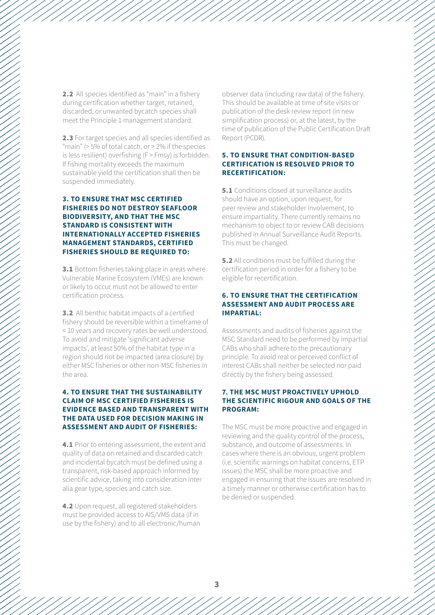**2.2** All species identified as "main" in a fishery during certification whether target, retained, discarded, or unwanted bycatch species shall meet the Principle 1 management standard.

**2.3** For target species and all species identified as "main" (> 5% of total catch, or > 2% if the species is less resilient) overfishing (F > Fmsy) is forbidden. If fishing mortality exceeds the maximum sustainable yield the certification shall then be suspended immediately.

#### **3. To ensure that MSC certified fisheries do not destroy seafloor biodiversity, and that the MSC Standard is consistent with internationally accepted fisheries management standards, certified fisheries should be required to:**

**3.1** Bottom fisheries taking place in areas where Vulnerable Marine Ecosystem (VMEs) are known or likely to occur must not be allowed to enter certification process.

**3.2** All benthic habitat impacts of a certified fishery should be reversible within a timeframe of < 10 years and recovery rates be well understood. To avoid and mitigate 'significant adverse impacts', at least 50% of the habitat type in a region should not be impacted (area closure) by either MSC fisheries or other non-MSC fisheries in the area.

#### **4. To ensure that the sustainability claim of MSC certified fisheries is evidence based and transparent with the data used for decision making in assessment and audit of fisheries:**

**4.1** Prior to entering assessment, the extent and quality of data on retained and discarded catch and incidental bycatch must be defined using a transparent, risk-based approach informed by scientific advice, taking into consideration inter alia gear type, species and catch size.

**4.2** Upon request, all registered stakeholders must be provided access to AIS/VMS data (if in use by the fishery) and to all electronic/human observer data (including raw data) of the fishery. This should be available at time of site visits or publication of the desk review report (in new simplification process) or, at the latest, by the time of publication of the Public Certification Draft Report (PCDR).

#### **5. To ensure that condition-based certification is resolved prior to recertification:**

**5.1** Conditions closed at surveillance audits should have an option, upon request, for peer review and stakeholder involvement, to ensure impartiality. There currently remains no mechanism to object to or review CAB decisions published in Annual Surveillance Audit Reports. This must be changed.

**5.2** All conditions must be fulfilled during the certification period in order for a fishery to be eligible for recertification.

#### **6. To ensure that the certification assessment and audit process are impartial:**

Assessments and audits of fisheries against the MSC Standard need to be performed by impartial CABs who shall adhere to the precautionary principle. To avoid real or perceived conflict of interest CABs shall neither be selected nor paid directly by the fishery being assessed.

#### **7. The MSC must proactively uphold the scientific rigour and goals of the program:**

The MSC must be more proactive and engaged in reviewing and the quality control of the process, substance, and outcome of assessments. In cases where there is an obvious, urgent problem (i.e. scientific warnings on habitat concerns, ETP issues) the MSC shall be more proactive and engaged in ensuring that the issues are resolved in a timely manner or otherwise certification has to be denied or suspended.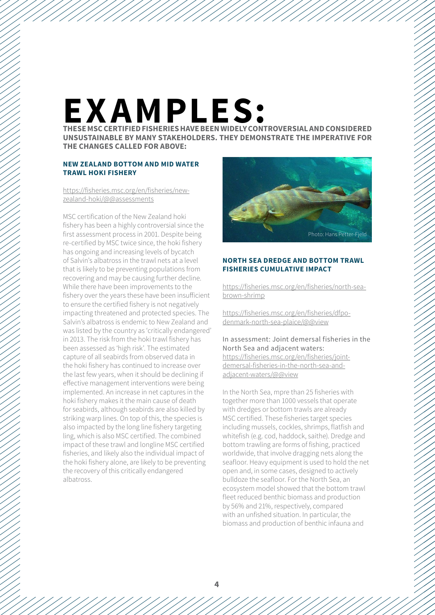## **Examples:**

**These MSC certified fisheries have been widely controversial and considered unsustainable by many stakeholders. thEY demonstrate the imperative for the changes called for above:**

#### **New Zealand bottom and mid water trawl hoki fishery**

#### [https://fisheries.msc.org/en/fisheries/new](https://fisheries.msc.org/en/fisheries/new-zealand-hoki/%40%40assessments)[zealand-hoki/@@assessments](https://fisheries.msc.org/en/fisheries/new-zealand-hoki/%40%40assessments)

MSC certification of the New Zealand hoki fishery has been a highly controversial since the first assessment process in 2001. Despite being re-certified by MSC twice since, the hoki fishery has ongoing and increasing levels of bycatch of Salvin's albatross in the trawl nets at a level that is likely to be preventing populations from recovering and may be causing further decline. While there have been improvements to the fishery over the years these have been insufficient to ensure the certified fishery is not negatively impacting threatened and protected species. The Salvin's albatross is endemic to New Zealand and was listed by the country as 'critically endangered' in 2013. The risk from the hoki trawl fishery has been assessed as 'high risk'. The estimated capture of all seabirds from observed data in the hoki fishery has continued to increase over the last few years, when it should be declining if effective management interventions were being implemented. An increase in net captures in the hoki fishery makes it the main cause of death for seabirds, although seabirds are also killed by striking warp lines. On top of this, the species is also impacted by the long line fishery targeting ling, which is also MSC certified. The combined impact of these trawl and longline MSC certified fisheries, and likely also the individual impact of the hoki fishery alone, are likely to be preventing the recovery of this critically endangered albatross.



#### **North Sea dredge and bottom trawl fisheries cumulative impact**

[https://fisheries.msc.org/en/fisheries/north-sea](https://fisheries.msc.org/en/fisheries/north-sea-brown-shrimp)[brown-shrimp](https://fisheries.msc.org/en/fisheries/north-sea-brown-shrimp)

[https://fisheries.msc.org/en/fisheries/dfpo](https://fisheries.msc.org/en/fisheries/dfpo-denmark-north-sea-plaice/%40%40view)[denmark-north-sea-plaice/@@view](https://fisheries.msc.org/en/fisheries/dfpo-denmark-north-sea-plaice/%40%40view)

In assessment: Joint demersal fisheries in the North Sea and adjacent waters: [https://fisheries.msc.org/en/fisheries/joint](https://fisheries.msc.org/en/fisheries/joint-demersal-fisheries-in-the-north-sea-and-adjacent-waters/%40%40view)[demersal-fisheries-in-the-north-sea-and](https://fisheries.msc.org/en/fisheries/joint-demersal-fisheries-in-the-north-sea-and-adjacent-waters/%40%40view)adiacent-waters/@@view

In the North Sea, mpre than 25 fisheries with together more than 1000 vessels that operate with dredges or bottom trawls are already MSC certified. These fisheries target species including mussels, cockles, shrimps, flatfish and whitefish (e.g. cod, haddock, saithe). Dredge and bottom trawling are forms of fishing, practiced worldwide, that involve dragging nets along the seafloor. Heavy equipment is used to hold the net open and, in some cases, designed to actively bulldoze the seafloor. For the North Sea, an ecosystem model showed that the bottom trawl fleet reduced benthic biomass and production by 56% and 21%, respectively, compared with an unfished situation. In particular, the biomass and production of benthic infauna and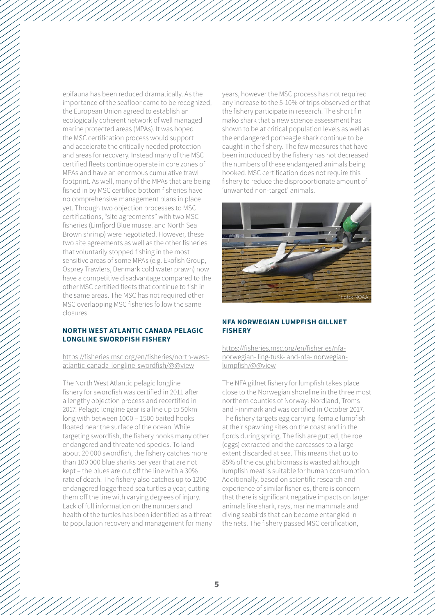epifauna has been reduced dramatically. As the importance of the seafloor came to be recognized, the European Union agreed to establish an ecologically coherent network of well managed marine protected areas (MPAs). It was hoped the MSC certification process would support and accelerate the critically needed protection and areas for recovery. Instead many of the MSC certified fleets continue operate in core zones of MPAs and have an enormous cumulative trawl footprint. As well, many of the MPAs that are being fished in by MSC certified bottom fisheries have no comprehensive management plans in place yet. Through two objection processes to MSC certifications, "site agreements" with two MSC fisheries (Limfjord Blue mussel and North Sea Brown shrimp) were negotiated. However, these two site agreements as well as the other fisheries that voluntarily stopped fishing in the most sensitive areas of some MPAs (e.g. Ekofish Group, Osprey Trawlers, Denmark cold water prawn) now have a competitive disadvantage compared to the other MSC certified fleets that continue to fish in the same areas. The MSC has not required other MSC overlapping MSC fisheries follow the same closures.

#### **North West Atlantic Canada pelagic longline swordfish fishery**

[https://fisheries.msc.org/en/fisheries/north-west](https://fisheries.msc.org/en/fisheries/north-west-atlantic-canada-longline-swordfish/%40%40view)[atlantic-canada-longline-swordfish/@@view](https://fisheries.msc.org/en/fisheries/north-west-atlantic-canada-longline-swordfish/%40%40view)

The North West Atlantic pelagic longline fishery for swordfish was certified in 2011 after a lengthy objection process and recertified in 2017. Pelagic longline gear is a line up to 50km long with between 1000 – 1500 baited hooks floated near the surface of the ocean. While targeting swordfish, the fishery hooks many other endangered and threatened species. To land about 20 000 swordfish, the fishery catches more than 100 000 blue sharks per year that are not kept – the blues are cut off the line with a 30% rate of death. The fishery also catches up to 1200 endangered loggerhead sea turtles a year, cutting them off the line with varying degrees of injury. Lack of full information on the numbers and health of the turtles has been identified as a threat to population recovery and management for many years, however the MSC process has not required any increase to the 5-10% of trips observed or that the fishery participate in research. The short fin mako shark that a new science assessment has shown to be at critical population levels as well as the endangered porbeagle shark continue to be caught in the fishery. The few measures that have been introduced by the fishery has not decreased the numbers of these endangered animals being hooked. MSC certification does not require this fishery to reduce the disproportionate amount of 'unwanted non-target' animals.



#### **NFA Norwegian lumpfish gillnet fishery**

[https://fisheries.msc.org/en/fisheries/nfa](https://fisheries.msc.org/en/fisheries/nfa-norwegian-%20ling-tusk-%20and-nfa-%20norwegian-lumpfish/%40%40view)[norwegian- ling-tusk- and-nfa- norwegian](https://fisheries.msc.org/en/fisheries/nfa-norwegian-%20ling-tusk-%20and-nfa-%20norwegian-lumpfish/%40%40view)[lumpfish/@@view](https://fisheries.msc.org/en/fisheries/nfa-norwegian-%20ling-tusk-%20and-nfa-%20norwegian-lumpfish/%40%40view)

The NFA gillnet fishery for lumpfish takes place close to the Norwegian shoreline in the three most northern counties of Norway: Nordland, Troms and Finnmark and was certified in October 2017. The fishery targets egg carrying female lumpfish at their spawning sites on the coast and in the fjords during spring. The fish are gutted, the roe (eggs) extracted and the carcasses to a large extent discarded at sea. This means that up to 85% of the caught biomass is wasted although lumpfish meat is suitable for human consumption. Additionally, based on scientific research and experience of similar fisheries, there is concern that there is significant negative impacts on larger animals like shark, rays, marine mammals and diving seabirds that can become entangled in the nets. The fishery passed MSC certification,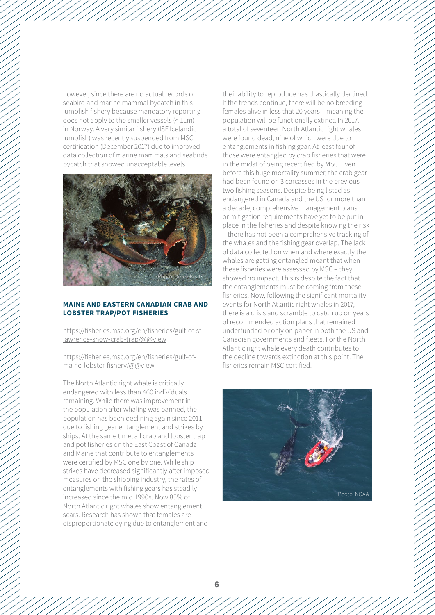however, since there are no actual records of seabird and marine mammal bycatch in this lumpfish fishery because mandatory reporting does not apply to the smaller vessels (< 11m) in Norway. A very similar fishery (ISF Icelandic lumpfish) was recently suspended from MSC certification (December 2017) due to improved data collection of marine mammals and seabirds bycatch that showed unacceptable levels.



#### **Maine and Eastern Canadian crab and lobster trap/pot fisheries**

[https://fisheries.msc.org/en/fisheries/gulf-of-st](https://fisheries.msc.org/en/fisheries/gulf-of-st-lawrence-snow-crab-trap/%40%40view)[lawrence-snow-crab-trap/@@view](https://fisheries.msc.org/en/fisheries/gulf-of-st-lawrence-snow-crab-trap/%40%40view)

[https://fisheries.msc.org/en/fisheries/gulf-of](https://fisheries.msc.org/en/fisheries/gulf-of-maine-lobster-fishery/%40%40view%0D)[maine-lobster-fishery/@@view](https://fisheries.msc.org/en/fisheries/gulf-of-maine-lobster-fishery/%40%40view%0D)

The North Atlantic right whale is critically endangered with less than 460 individuals remaining. While there was improvement in the population after whaling was banned, the population has been declining again since 2011 due to fishing gear entanglement and strikes by ships. At the same time, all crab and lobster trap and pot fisheries on the East Coast of Canada and Maine that contribute to entanglements were certified by MSC one by one. While ship strikes have decreased significantly after imposed measures on the shipping industry, the rates of entanglements with fishing gears has steadily increased since the mid 1990s. Now 85% of North Atlantic right whales show entanglement scars. Research has shown that females are disproportionate dying due to entanglement and

their ability to reproduce has drastically declined. If the trends continue, there will be no breeding females alive in less that 20 years – meaning the population will be functionally extinct. In 2017, a total of seventeen North Atlantic right whales were found dead, nine of which were due to entanglements in fishing gear. At least four of those were entangled by crab fisheries that were in the midst of being recertified by MSC. Even before this huge mortality summer, the crab gear had been found on 3 carcasses in the previous two fishing seasons. Despite being listed as endangered in Canada and the US for more than a decade, comprehensive management plans or mitigation requirements have yet to be put in place in the fisheries and despite knowing the risk – there has not been a comprehensive tracking of the whales and the fishing gear overlap. The lack of data collected on when and where exactly the whales are getting entangled meant that when these fisheries were assessed by MSC – they showed no impact. This is despite the fact that the entanglements must be coming from these fisheries. Now, following the significant mortality events for North Atlantic right whales in 2017, there is a crisis and scramble to catch up on years of recommended action plans that remained underfunded or only on paper in both the US and Canadian governments and fleets. For the North Atlantic right whale every death contributes to the decline towards extinction at this point. The fisheries remain MSC certified.

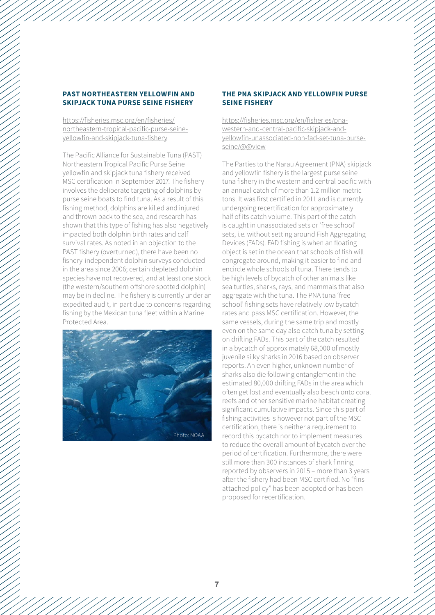### **PAST Northeastern yellowfin and skipjack tuna purse seine fishery**

[https://fisheries.msc.org/en/fisheries/](%0Dhttps://fisheries.msc.org/en/fisheries/northeastern-tropical-pacific-purse-seine-yellowfin-and-skipjack-tuna-fishery%0D) [northeastern-tropical-pacific-purse-seine](%0Dhttps://fisheries.msc.org/en/fisheries/northeastern-tropical-pacific-purse-seine-yellowfin-and-skipjack-tuna-fishery%0D)[yellowfin-and-skipjack-tuna-fishery](%0Dhttps://fisheries.msc.org/en/fisheries/northeastern-tropical-pacific-purse-seine-yellowfin-and-skipjack-tuna-fishery%0D)

The Pacific Alliance for Sustainable Tuna (PAST) Northeastern Tropical Pacific Purse Seine yellowfin and skipjack tuna fishery received MSC certification in September 2017. The fishery involves the deliberate targeting of dolphins by purse seine boats to find tuna. As a result of this fishing method, dolphins are killed and injured and thrown back to the sea, and research has shown that this type of fishing has also negatively impacted both dolphin birth rates and calf survival rates. As noted in an objection to the PAST fishery (overturned), there have been no fishery-independent dolphin surveys conducted in the area since 2006; certain depleted dolphin species have not recovered, and at least one stock (the western/southern offshore spotted dolphin) may be in decline. The fishery is currently under an expedited audit, in part due to concerns regarding fishing by the Mexican tuna fleet within a Marine Protected Area.



#### **The PNA skipjack and yellowfin purse seine fishery**

[https://fisheries.msc.org/en/fisheries/pna](https://fisheries.msc.org/en/fisheries/pna-western-and-central-pacific-skipjack-and-yellowfin-unassociated-non-fad-set-tuna-purse-seine/%40%40view%0D)[western-and-central-pacific-skipjack-and](https://fisheries.msc.org/en/fisheries/pna-western-and-central-pacific-skipjack-and-yellowfin-unassociated-non-fad-set-tuna-purse-seine/%40%40view%0D)[yellowfin-unassociated-non-fad-set-tuna-purse](https://fisheries.msc.org/en/fisheries/pna-western-and-central-pacific-skipjack-and-yellowfin-unassociated-non-fad-set-tuna-purse-seine/%40%40view%0D)[seine/@@view](https://fisheries.msc.org/en/fisheries/pna-western-and-central-pacific-skipjack-and-yellowfin-unassociated-non-fad-set-tuna-purse-seine/%40%40view%0D)

The Parties to the Narau Agreement (PNA) skipjack and yellowfin fishery is the largest purse seine tuna fishery in the western and central pacific with an annual catch of more than 1.2 million metric tons. It was first certified in 2011 and is currently undergoing recertification for approximately half of its catch volume. This part of the catch is caught in unassociated sets or 'free school' sets, i.e. without setting around Fish Aggregating Devices (FADs). FAD fishing is when an floating object is set in the ocean that schools of fish will congregate around, making it easier to find and encircle whole schools of tuna. There tends to be high levels of bycatch of other animals like sea turtles, sharks, rays, and mammals that also aggregate with the tuna. The PNA tuna 'free school' fishing sets have relatively low bycatch rates and pass MSC certification. However, the same vessels, during the same trip and mostly even on the same day also catch tuna by setting on drifting FADs. This part of the catch resulted in a bycatch of approximately 68,000 of mostly juvenile silky sharks in 2016 based on observer reports. An even higher, unknown number of sharks also die following entanglement in the estimated 80,000 drifting FADs in the area which often get lost and eventually also beach onto coral reefs and other sensitive marine habitat creating significant cumulative impacts. Since this part of fishing activities is however not part of the MSC certification, there is neither a requirement to record this bycatch nor to implement measures to reduce the overall amount of bycatch over the period of certification. Furthermore, there were still more than 300 instances of shark finning reported by observers in 2015 – more than 3 years after the fishery had been MSC certified. No "fins attached policy" has been adopted or has been proposed for recertification.